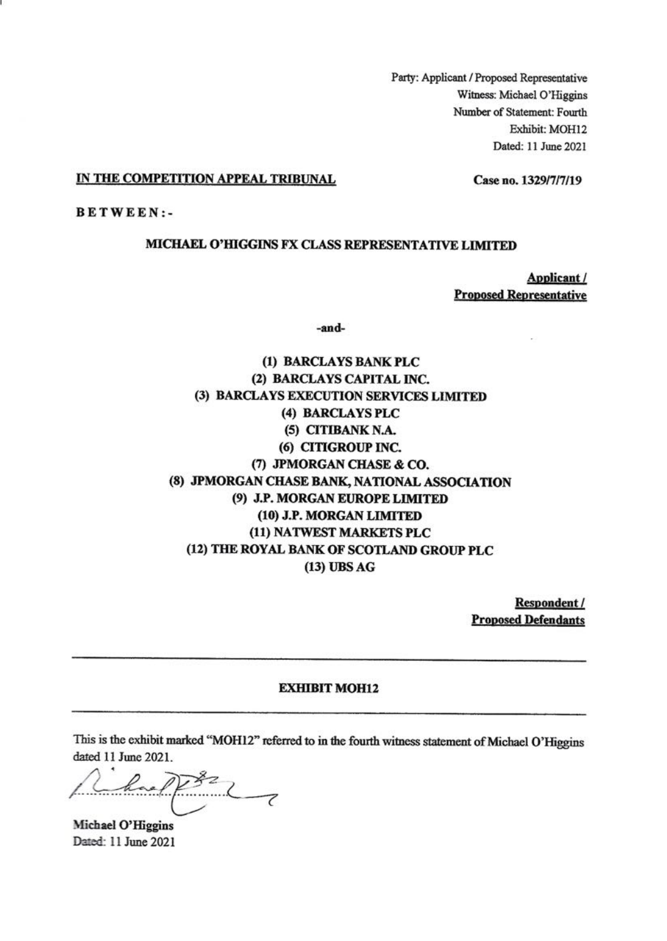Party: Applicant / Proposed Representative Witness: Michael O'Higgins Number of Statement: Fourth Exhibit: MOH12 Dated: 11 June 2021

#### IN THE COMPETITION APPEAL TRIBUNAL

Case no. 1329/7/7/19

**BETWEEN:-**

#### MICHAEL O'HIGGINS FX CLASS REPRESENTATIVE LIMITED

Applicant / **Proposed Representative** 

-and-

(1) BARCLAYS BANK PLC (2) BARCLAYS CAPITAL INC. (3) BARCLAYS EXECUTION SERVICES LIMITED (4) BARCLAYS PLC (5) CITIBANK N.A. (6) CITIGROUP INC. (7) JPMORGAN CHASE & CO. (8) JPMORGAN CHASE BANK, NATIONAL ASSOCIATION (9) J.P. MORGAN EUROPE LIMITED (10) J.P. MORGAN LIMITED (11) NATWEST MARKETS PLC (12) THE ROYAL BANK OF SCOTLAND GROUP PLC (13) UBS AG

> Respondent / **Proposed Defendants**

#### **EXHIBIT MOH12**

This is the exhibit marked "MOH12" referred to in the fourth witness statement of Michael O'Higgins dated 11 June 2021.

ael

Michael O'Higgins Dated: 11 June 2021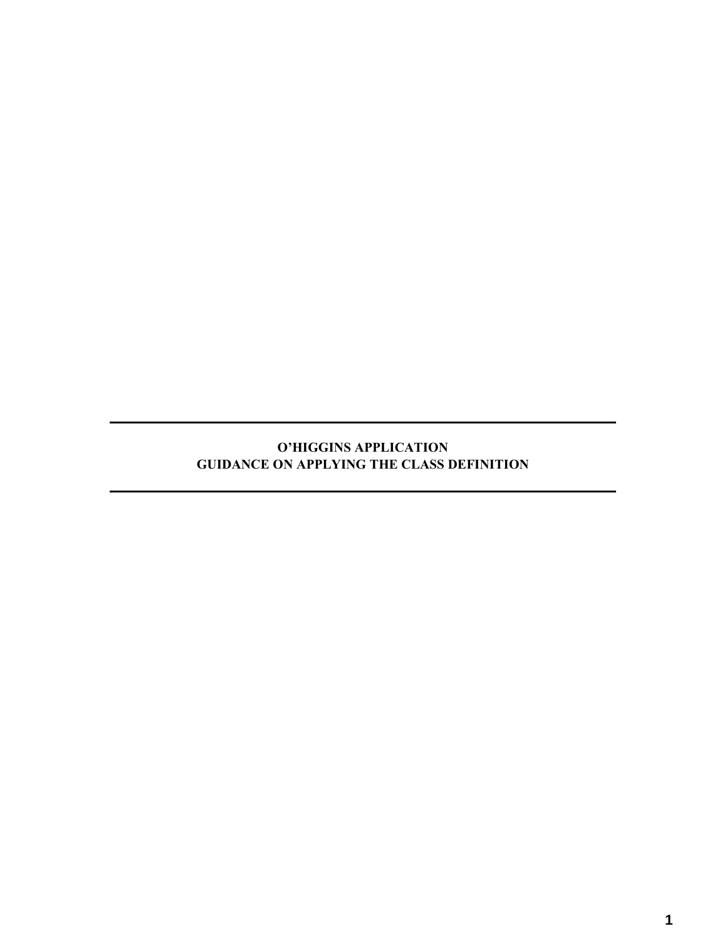# **O'HIGGINS APPLICATION GUIDANCE ON APPLYING THE CLASS DEFINITION**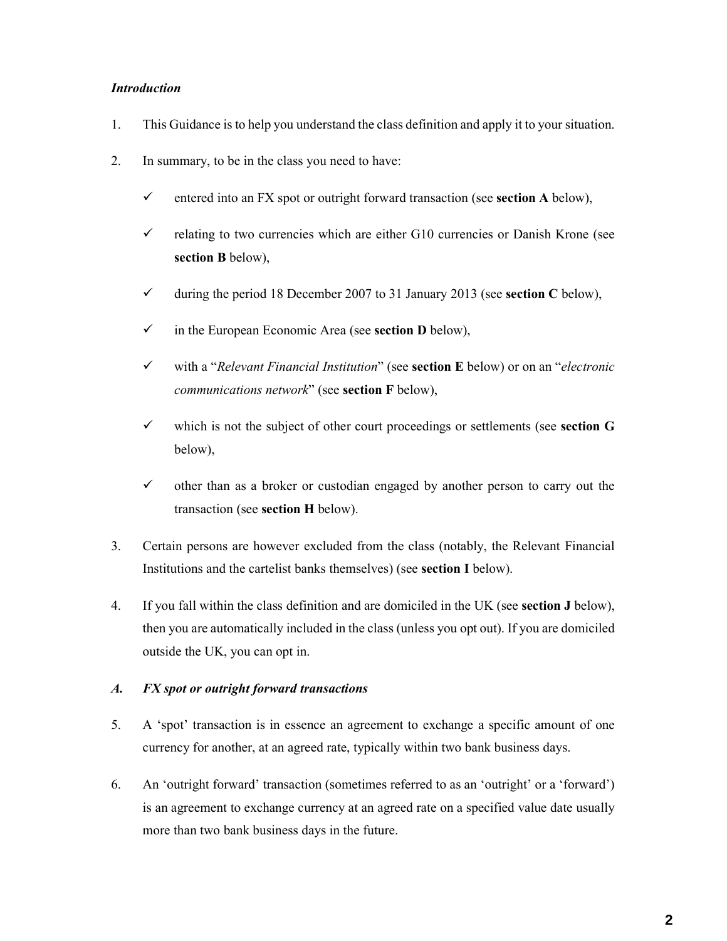### *Introduction*

- 1. This Guidance is to help you understand the class definition and apply it to your situation.
- 2. In summary, to be in the class you need to have:
	- $\checkmark$  entered into an FX spot or outright forward transaction (see **section A** below),
	- $\checkmark$  relating to two currencies which are either G10 currencies or Danish Krone (see **section B** below),
	- during the period 18 December 2007 to 31 January 2013 (see **section C** below),
	- in the European Economic Area (see **section D** below),
	- with a "*Relevant Financial Institution*" (see **section E** below) or on an "*electronic communications network*" (see **section F** below),
	- $\checkmark$  which is not the subject of other court proceedings or settlements (see **section G** below),
	- $\checkmark$  other than as a broker or custodian engaged by another person to carry out the transaction (see **section H** below).
- 3. Certain persons are however excluded from the class (notably, the Relevant Financial Institutions and the cartelist banks themselves) (see **section I** below).
- 4. If you fall within the class definition and are domiciled in the UK (see **section J** below), then you are automatically included in the class (unless you opt out). If you are domiciled outside the UK, you can opt in.

# *A. FX spot or outright forward transactions*

- 5. A 'spot' transaction is in essence an agreement to exchange a specific amount of one currency for another, at an agreed rate, typically within two bank business days.
- 6. An 'outright forward' transaction (sometimes referred to as an 'outright' or a 'forward') is an agreement to exchange currency at an agreed rate on a specified value date usually more than two bank business days in the future.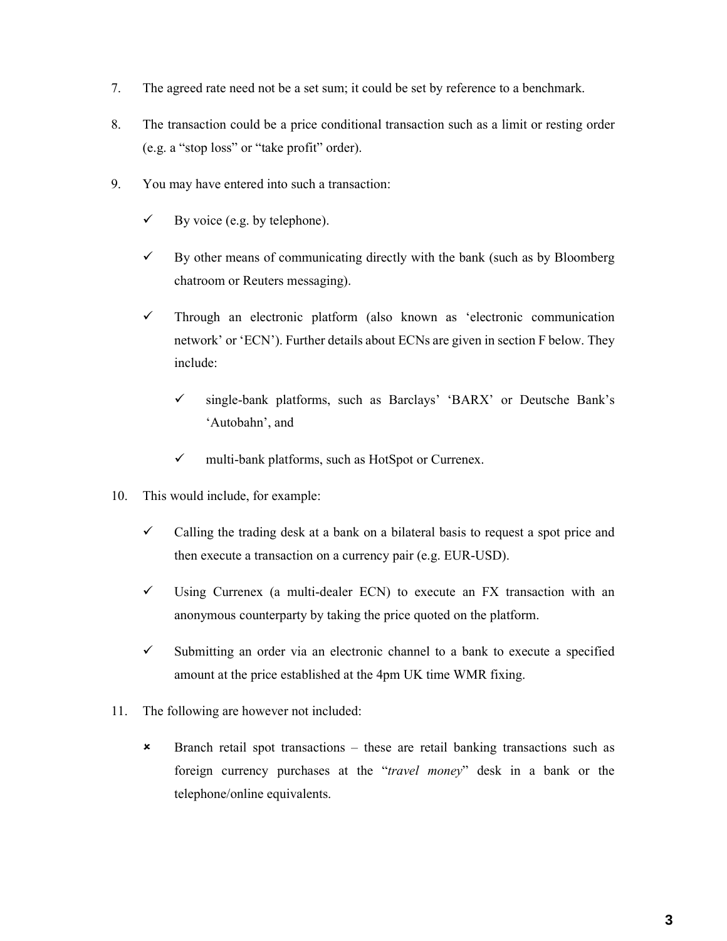- 7. The agreed rate need not be a set sum; it could be set by reference to a benchmark.
- 8. The transaction could be a price conditional transaction such as a limit or resting order (e.g. a "stop loss" or "take profit" order).
- 9. You may have entered into such a transaction:
	- $\checkmark$  By voice (e.g. by telephone).
	- $\checkmark$  By other means of communicating directly with the bank (such as by Bloomberg chatroom or Reuters messaging).
	- $\checkmark$  Through an electronic platform (also known as 'electronic communication network' or 'ECN'). Further details about ECNs are given in section F below. They include:
		- single-bank platforms, such as Barclays' 'BARX' or Deutsche Bank's 'Autobahn', and
		- $\checkmark$  multi-bank platforms, such as HotSpot or Currenex.
- 10. This would include, for example:
	- $\checkmark$  Calling the trading desk at a bank on a bilateral basis to request a spot price and then execute a transaction on a currency pair (e.g. EUR-USD).
	- $\checkmark$  Using Currenex (a multi-dealer ECN) to execute an FX transaction with an anonymous counterparty by taking the price quoted on the platform.
	- $\checkmark$  Submitting an order via an electronic channel to a bank to execute a specified amount at the price established at the 4pm UK time WMR fixing.
- 11. The following are however not included:
	- Branch retail spot transactions these are retail banking transactions such as foreign currency purchases at the "*travel money*" desk in a bank or the telephone/online equivalents.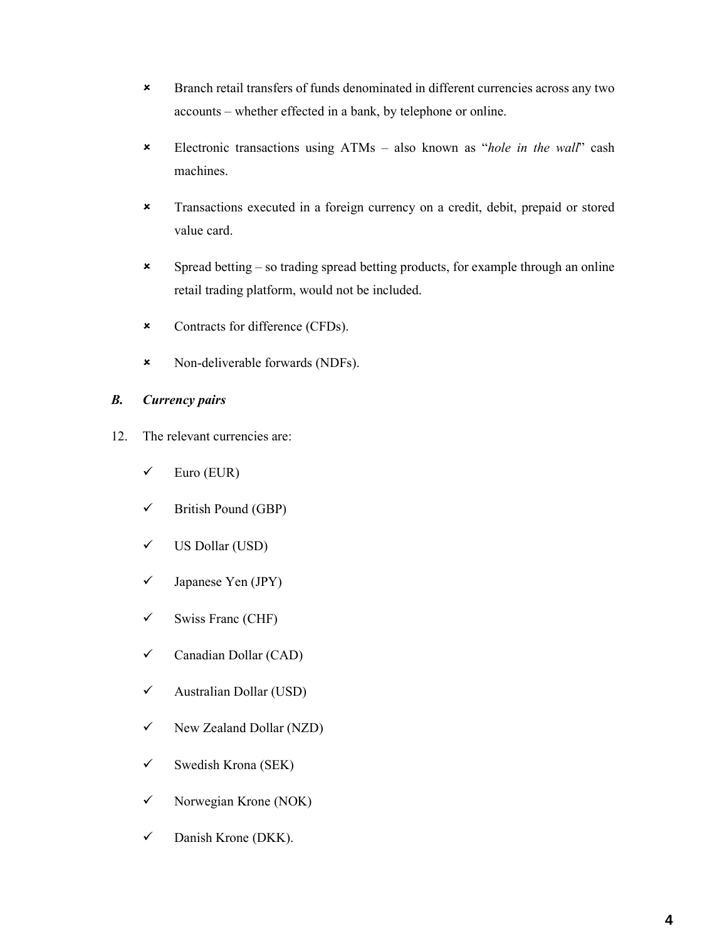- Branch retail transfers of funds denominated in different currencies across any two accounts – whether effected in a bank, by telephone or online.
- Electronic transactions using ATMs also known as "*hole in the wall*" cash machines.
- Transactions executed in a foreign currency on a credit, debit, prepaid or stored value card.
- $\boldsymbol{\ast}$  Spread betting so trading spread betting products, for example through an online retail trading platform, would not be included.
- Contracts for difference (CFDs).
- Non-deliverable forwards (NDFs).

# *B. Currency pairs*

- 12. The relevant currencies are:
	- $\checkmark$  Euro (EUR)
	- $\checkmark$  British Pound (GBP)
	- US Dollar (USD)
	- $\checkmark$  Japanese Yen (JPY)
	- $\checkmark$  Swiss Franc (CHF)
	- $\checkmark$  Canadian Dollar (CAD)
	- $\checkmark$  Australian Dollar (USD)
	- $\checkmark$  New Zealand Dollar (NZD)
	- $\checkmark$  Swedish Krona (SEK)
	- $\checkmark$  Norwegian Krone (NOK)
	- $\checkmark$  Danish Krone (DKK).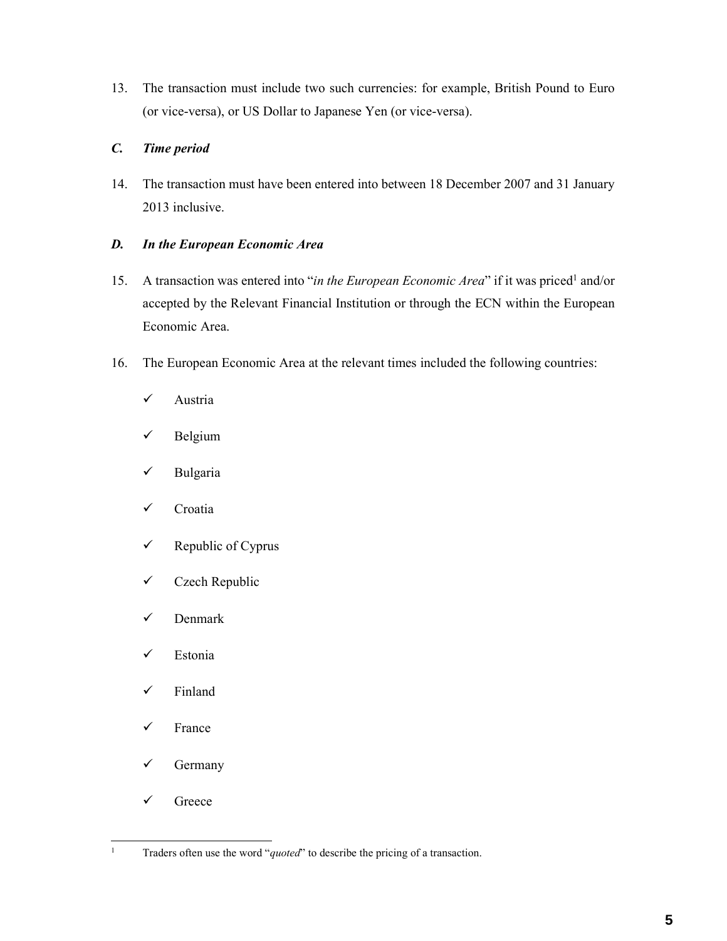13. The transaction must include two such currencies: for example, British Pound to Euro (or vice-versa), or US Dollar to Japanese Yen (or vice-versa).

# *C. Time period*

14. The transaction must have been entered into between 18 December 2007 and 31 January 2013 inclusive.

# *D. In the European Economic Area*

- 15. A transaction was entered into "*in the European Economic Area*" if it was priced<sup>1</sup> and/or accepted by the Relevant Financial Institution or through the ECN within the European Economic Area.
- 16. The European Economic Area at the relevant times included the following countries:
	- $\checkmark$  Austria
	- $\checkmark$  Belgium
	- $\checkmark$  Bulgaria
	- $\checkmark$  Croatia
	- $\checkmark$  Republic of Cyprus
	- $\checkmark$  Czech Republic
	- $\checkmark$  Denmark
	- $\checkmark$  Estonia
	- $\checkmark$  Finland
	- $\checkmark$  France
	- $\checkmark$  Germany
	- Greece

 $\frac{1}{1}$ 

Traders often use the word "*quoted*" to describe the pricing of a transaction.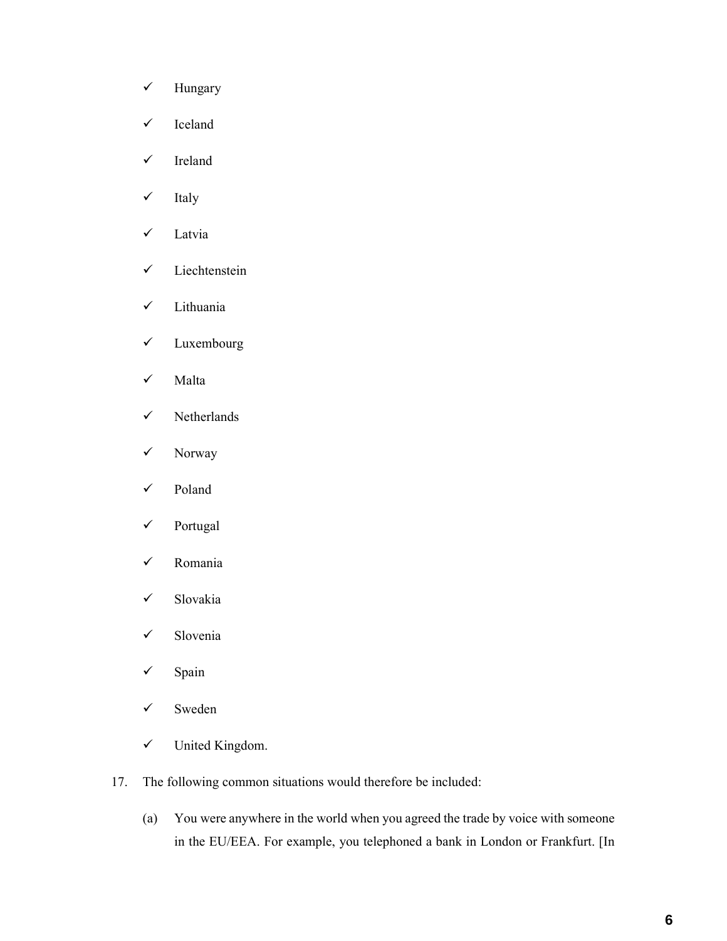- $\checkmark$  Hungary
- $\checkmark$  Iceland
- $\checkmark$  Ireland
- $\checkmark$  Italy
- Latvia
- $\checkmark$  Liechtenstein
- $\checkmark$  Lithuania
- Luxembourg
- $\checkmark$  Malta
- $\checkmark$  Netherlands
- $\checkmark$  Norway
- $\checkmark$  Poland
- Portugal
- Romania
- Slovakia
- $\checkmark$  Slovenia
- $\checkmark$  Spain
- $\checkmark$  Sweden
- United Kingdom.
- 17. The following common situations would therefore be included:
	- (a) You were anywhere in the world when you agreed the trade by voice with someone in the EU/EEA. For example, you telephoned a bank in London or Frankfurt. [In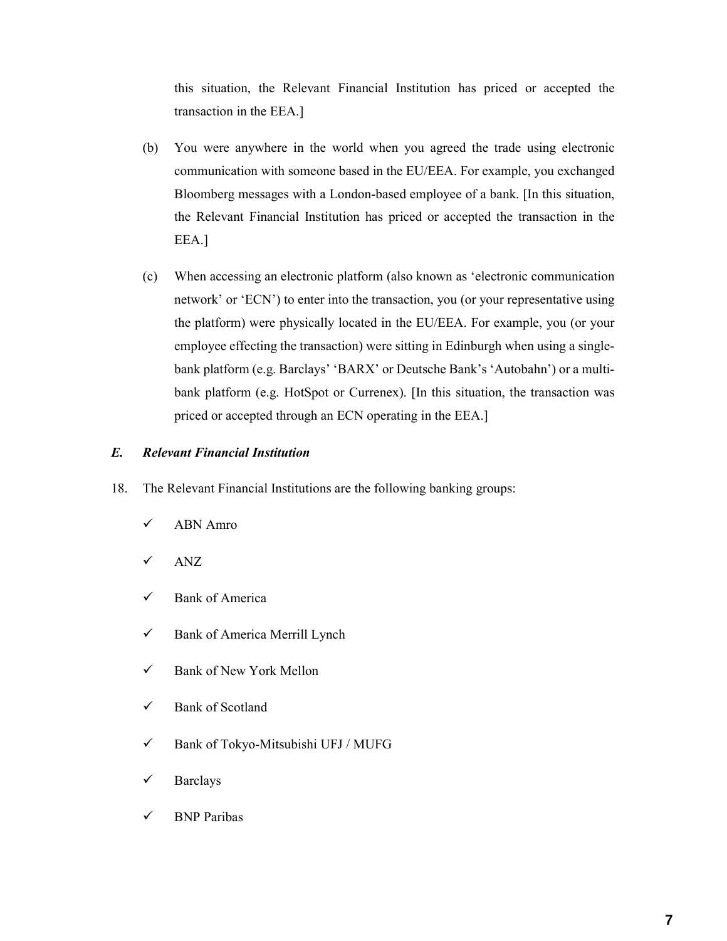this situation, the Relevant Financial Institution has priced or accepted the transaction in the EEA.]

- (b) You were anywhere in the world when you agreed the trade using electronic communication with someone based in the EU/EEA. For example, you exchanged Bloomberg messages with a London-based employee of a bank. [In this situation, the Relevant Financial Institution has priced or accepted the transaction in the EEA.]
- (c) When accessing an electronic platform (also known as 'electronic communication network' or 'ECN') to enter into the transaction, you (or your representative using the platform) were physically located in the EU/EEA. For example, you (or your employee effecting the transaction) were sitting in Edinburgh when using a singlebank platform (e.g. Barclays' 'BARX' or Deutsche Bank's 'Autobahn') or a multibank platform (e.g. HotSpot or Currenex). [In this situation, the transaction was priced or accepted through an ECN operating in the EEA.]

### *E. Relevant Financial Institution*

- 18. The Relevant Financial Institutions are the following banking groups:
	- ABN Amro
	- $\checkmark$  ANZ
	- $\checkmark$  Bank of America
	- $\checkmark$  Bank of America Merrill Lynch
	- $\checkmark$  Bank of New York Mellon
	- $\checkmark$  Bank of Scotland
	- Bank of Tokyo-Mitsubishi UFJ / MUFG
	- $\checkmark$  Barclays
	- $\checkmark$  BNP Paribas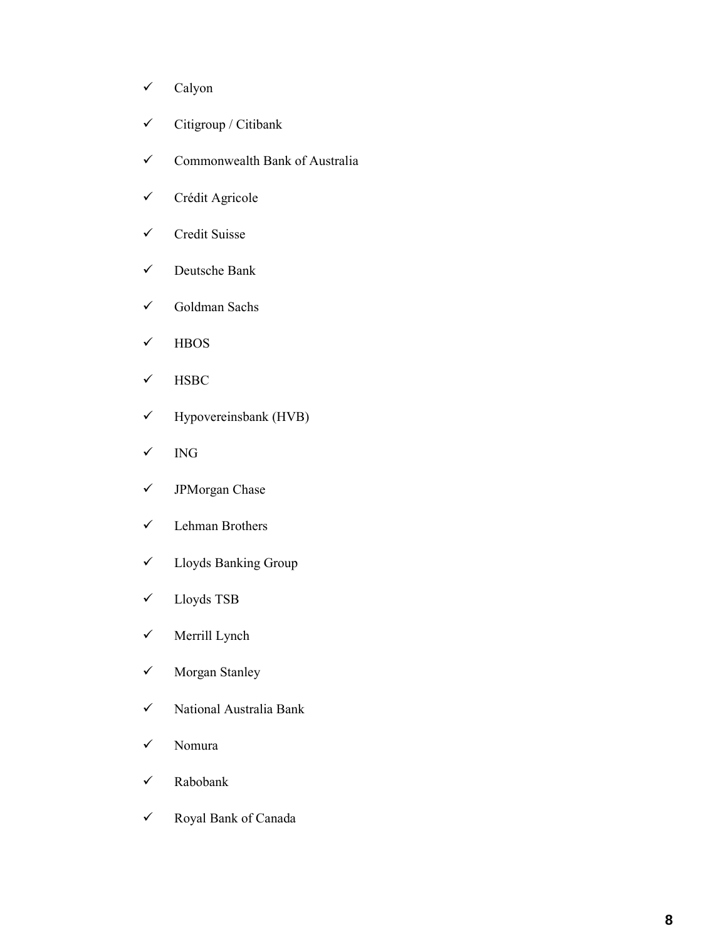- $\checkmark$  Calyon
- $\checkmark$  Citigroup / Citibank
- $\checkmark$  Commonwealth Bank of Australia
- Crédit Agricole
- $\checkmark$  Credit Suisse
- Deutsche Bank
- Goldman Sachs
- $\checkmark$  HBOS
- $\checkmark$  HSBC
- $\checkmark$  Hypovereinsbank (HVB)
- $\checkmark$  ING
- JPMorgan Chase
- $\checkmark$  Lehman Brothers
- Lloyds Banking Group
- Lloyds TSB
- $\checkmark$  Merrill Lynch
- Morgan Stanley
- $\checkmark$  National Australia Bank
- Nomura
- Rabobank
- Royal Bank of Canada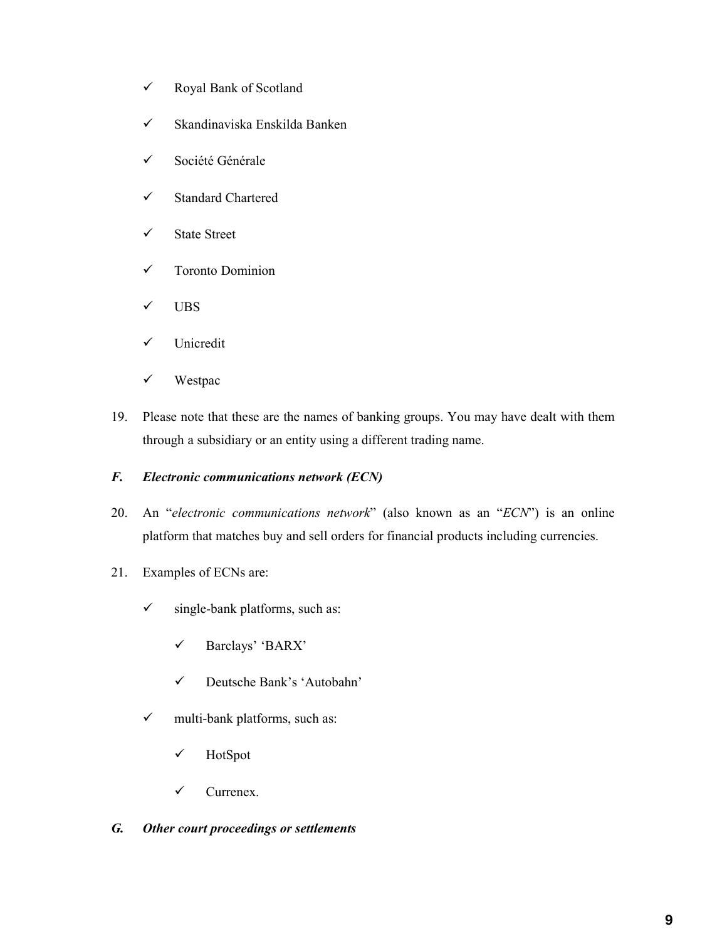- Royal Bank of Scotland
- $\checkmark$  Skandinaviska Enskilda Banken
- Société Générale
- Standard Chartered
- $\checkmark$  State Street
- Toronto Dominion
- $\checkmark$  UBS
- $\checkmark$  Unicredit
- $\checkmark$  Westpac
- 19. Please note that these are the names of banking groups. You may have dealt with them through a subsidiary or an entity using a different trading name.

# *F. Electronic communications network (ECN)*

- 20. An "*electronic communications network*" (also known as an "*ECN*") is an online platform that matches buy and sell orders for financial products including currencies.
- 21. Examples of ECNs are:
	- $\checkmark$  single-bank platforms, such as:
		- Barclays' 'BARX'
		- Deutsche Bank's 'Autobahn'
	- $\checkmark$  multi-bank platforms, such as:
		- $\checkmark$  HotSpot
		- $\checkmark$  Currenex.

### *G. Other court proceedings or settlements*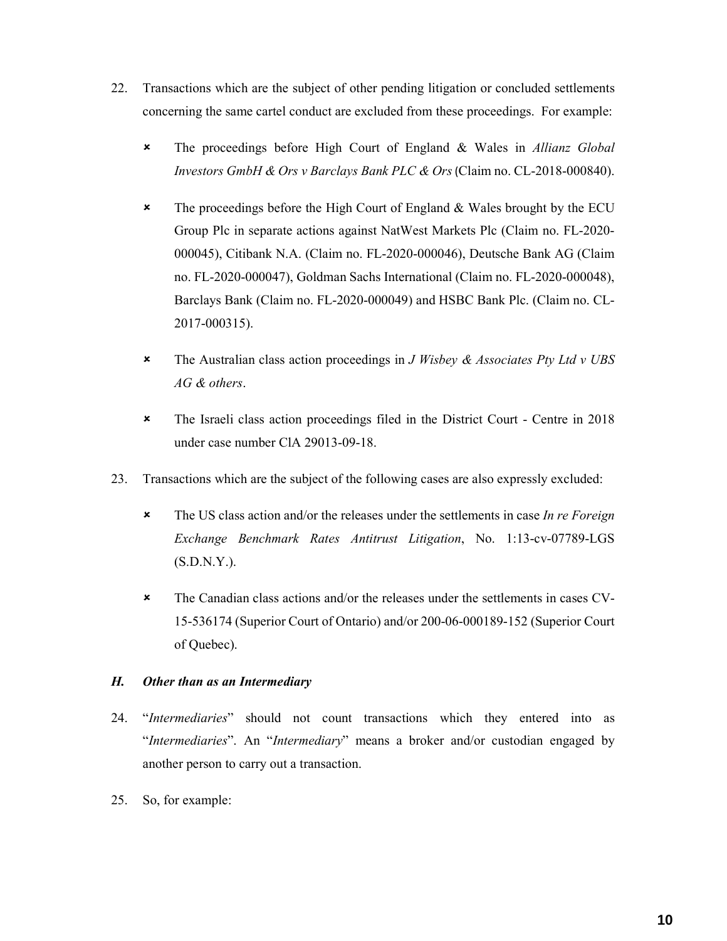- 22. Transactions which are the subject of other pending litigation or concluded settlements concerning the same cartel conduct are excluded from these proceedings. For example:
	- The proceedings before High Court of England & Wales in *Allianz Global Investors GmbH & Ors v Barclays Bank PLC & Ors* (Claim no. CL-2018-000840).
	- \* The proceedings before the High Court of England & Wales brought by the ECU Group Plc in separate actions against NatWest Markets Plc (Claim no. FL-2020- 000045), Citibank N.A. (Claim no. FL-2020-000046), Deutsche Bank AG (Claim no. FL-2020-000047), Goldman Sachs International (Claim no. FL-2020-000048), Barclays Bank (Claim no. FL-2020-000049) and HSBC Bank Plc. (Claim no. CL-2017-000315).
	- The Australian class action proceedings in *J Wisbey & Associates Pty Ltd v UBS AG & others*.
	- The Israeli class action proceedings filed in the District Court Centre in 2018 under case number ClA 29013-09-18.
- 23. Transactions which are the subject of the following cases are also expressly excluded:
	- The US class action and/or the releases under the settlements in case *In re Foreign Exchange Benchmark Rates Antitrust Litigation*, No. 1:13-cv-07789-LGS (S.D.N.Y.).
	- The Canadian class actions and/or the releases under the settlements in cases CV-15-536174 (Superior Court of Ontario) and/or 200-06-000189-152 (Superior Court of Quebec).

# *H. Other than as an Intermediary*

- 24. "*Intermediaries*" should not count transactions which they entered into as "*Intermediaries*". An "*Intermediary*" means a broker and/or custodian engaged by another person to carry out a transaction.
- 25. So, for example: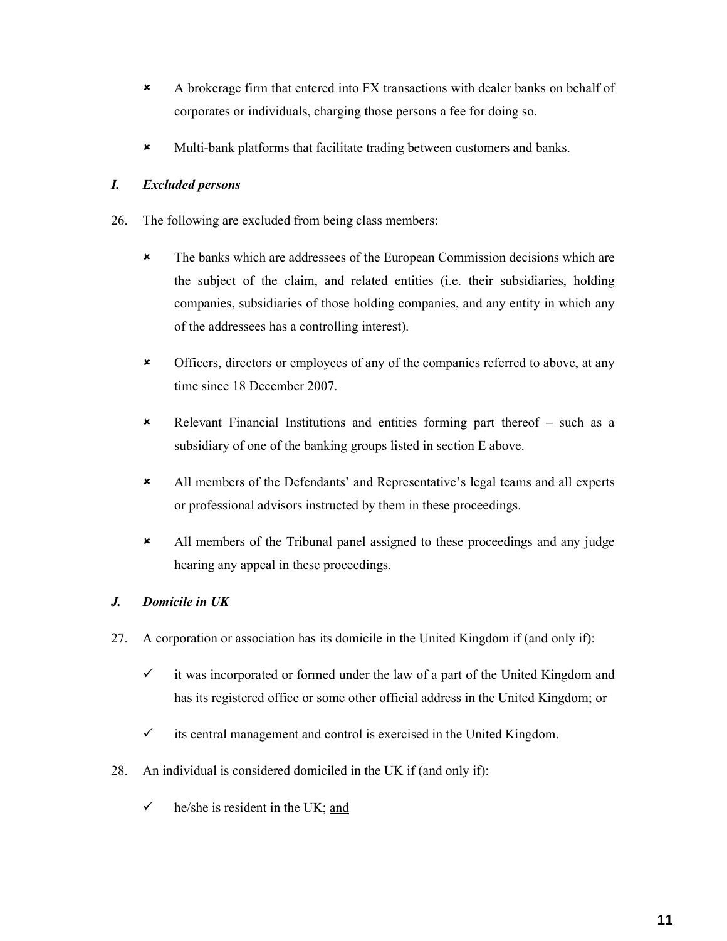- A brokerage firm that entered into FX transactions with dealer banks on behalf of corporates or individuals, charging those persons a fee for doing so.
- Multi-bank platforms that facilitate trading between customers and banks.

# *I. Excluded persons*

- 26. The following are excluded from being class members:
	- The banks which are addressees of the European Commission decisions which are the subject of the claim, and related entities (i.e. their subsidiaries, holding companies, subsidiaries of those holding companies, and any entity in which any of the addressees has a controlling interest).
	- Officers, directors or employees of any of the companies referred to above, at any time since 18 December 2007.
	- Relevant Financial Institutions and entities forming part thereof such as a subsidiary of one of the banking groups listed in section E above.
	- All members of the Defendants' and Representative's legal teams and all experts or professional advisors instructed by them in these proceedings.
	- All members of the Tribunal panel assigned to these proceedings and any judge hearing any appeal in these proceedings.

# *J. Domicile in UK*

- 27. A corporation or association has its domicile in the United Kingdom if (and only if):
	- $\checkmark$  it was incorporated or formed under the law of a part of the United Kingdom and has its registered office or some other official address in the United Kingdom; or
	- $\checkmark$  its central management and control is exercised in the United Kingdom.
- 28. An individual is considered domiciled in the UK if (and only if):
	- he/she is resident in the UK; and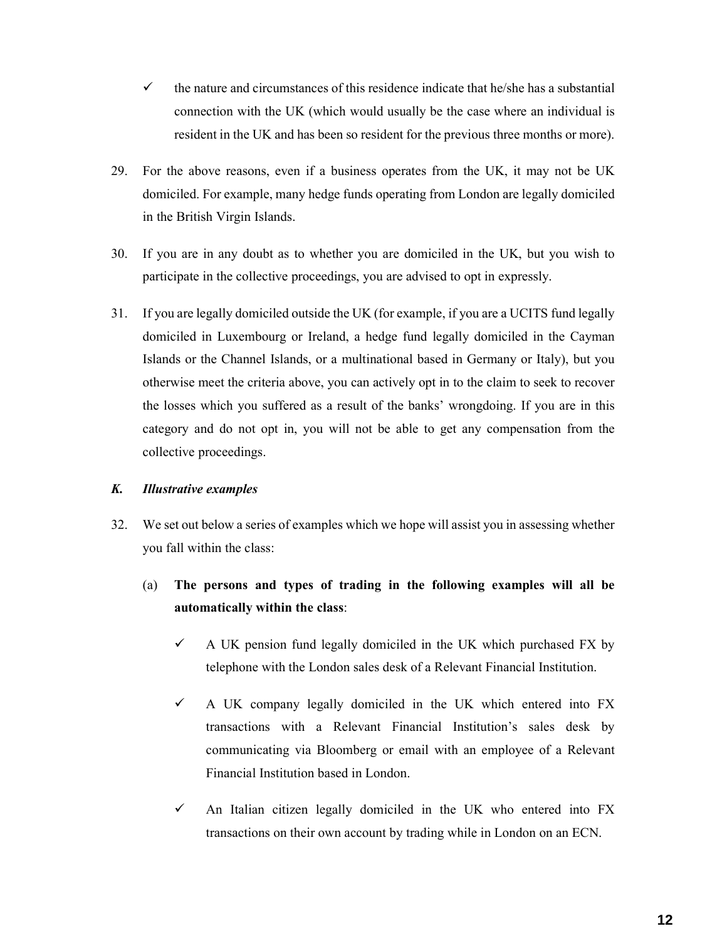- $\checkmark$  the nature and circumstances of this residence indicate that he/she has a substantial connection with the UK (which would usually be the case where an individual is resident in the UK and has been so resident for the previous three months or more).
- 29. For the above reasons, even if a business operates from the UK, it may not be UK domiciled. For example, many hedge funds operating from London are legally domiciled in the British Virgin Islands.
- 30. If you are in any doubt as to whether you are domiciled in the UK, but you wish to participate in the collective proceedings, you are advised to opt in expressly.
- 31. If you are legally domiciled outside the UK (for example, if you are a UCITS fund legally domiciled in Luxembourg or Ireland, a hedge fund legally domiciled in the Cayman Islands or the Channel Islands, or a multinational based in Germany or Italy), but you otherwise meet the criteria above, you can actively opt in to the claim to seek to recover the losses which you suffered as a result of the banks' wrongdoing. If you are in this category and do not opt in, you will not be able to get any compensation from the collective proceedings.

# *K. Illustrative examples*

- 32. We set out below a series of examples which we hope will assist you in assessing whether you fall within the class:
	- (a) **The persons and types of trading in the following examples will all be automatically within the class**:
		- $\checkmark$  A UK pension fund legally domiciled in the UK which purchased FX by telephone with the London sales desk of a Relevant Financial Institution.
		- $\checkmark$  A UK company legally domiciled in the UK which entered into FX transactions with a Relevant Financial Institution's sales desk by communicating via Bloomberg or email with an employee of a Relevant Financial Institution based in London.
		- $\checkmark$  An Italian citizen legally domiciled in the UK who entered into FX transactions on their own account by trading while in London on an ECN.